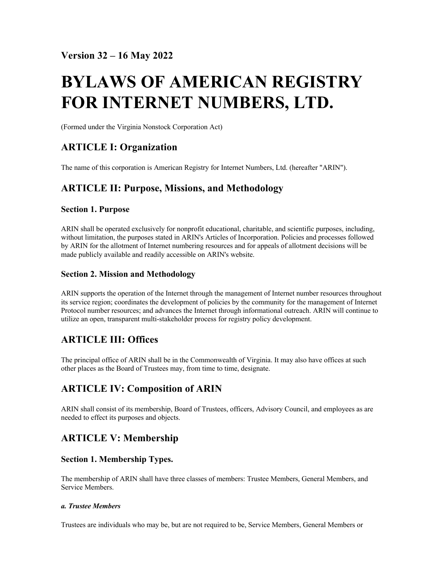# **BYLAWS OF AMERICAN REGISTRY FOR INTERNET NUMBERS, LTD.**

(Formed under the Virginia Nonstock Corporation Act)

# **ARTICLE I: Organization**

The name of this corporation is American Registry for Internet Numbers, Ltd. (hereafter "ARIN").

# **ARTICLE II: Purpose, Missions, and Methodology**

# **Section 1. Purpose**

ARIN shall be operated exclusively for nonprofit educational, charitable, and scientific purposes, including, without limitation, the purposes stated in ARIN's Articles of Incorporation. Policies and processes followed by ARIN for the allotment of Internet numbering resources and for appeals of allotment decisions will be made publicly available and readily accessible on ARIN's website.

# **Section 2. Mission and Methodology**

ARIN supports the operation of the Internet through the management of Internet number resources throughout its service region; coordinates the development of policies by the community for the management of Internet Protocol number resources; and advances the Internet through informational outreach. ARIN will continue to utilize an open, transparent multi-stakeholder process for registry policy development.

# **ARTICLE III: Offices**

The principal office of ARIN shall be in the Commonwealth of Virginia. It may also have offices at such other places as the Board of Trustees may, from time to time, designate.

# **ARTICLE IV: Composition of ARIN**

ARIN shall consist of its membership, Board of Trustees, officers, Advisory Council, and employees as are needed to effect its purposes and objects.

# **ARTICLE V: Membership**

# **Section 1. Membership Types.**

The membership of ARIN shall have three classes of members: Trustee Members, General Members, and Service Members.

# *a. Trustee Members*

Trustees are individuals who may be, but are not required to be, Service Members, General Members or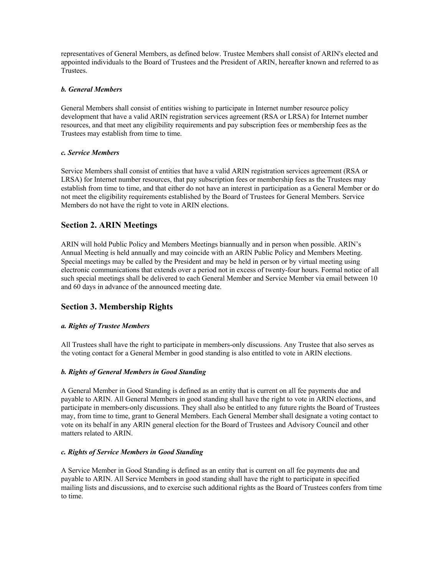representatives of General Members, as defined below. Trustee Members shall consist of ARIN's elected and appointed individuals to the Board of Trustees and the President of ARIN, hereafter known and referred to as Trustees.

## *b. General Members*

General Members shall consist of entities wishing to participate in Internet number resource policy development that have a valid ARIN registration services agreement (RSA or LRSA) for Internet number resources, and that meet any eligibility requirements and pay subscription fees or membership fees as the Trustees may establish from time to time.

#### *c. Service Members*

Service Members shall consist of entities that have a valid ARIN registration services agreement (RSA or LRSA) for Internet number resources, that pay subscription fees or membership fees as the Trustees may establish from time to time, and that either do not have an interest in participation as a General Member or do not meet the eligibility requirements established by the Board of Trustees for General Members. Service Members do not have the right to vote in ARIN elections.

# **Section 2. ARIN Meetings**

ARIN will hold Public Policy and Members Meetings biannually and in person when possible. ARIN's Annual Meeting is held annually and may coincide with an ARIN Public Policy and Members Meeting. Special meetings may be called by the President and may be held in person or by virtual meeting using electronic communications that extends over a period not in excess of twenty-four hours. Formal notice of all such special meetings shall be delivered to each General Member and Service Member via email between 10 and 60 days in advance of the announced meeting date.

# **Section 3. Membership Rights**

## *a. Rights of Trustee Members*

All Trustees shall have the right to participate in members-only discussions. Any Trustee that also serves as the voting contact for a General Member in good standing is also entitled to vote in ARIN elections.

## *b. Rights of General Members in Good Standing*

A General Member in Good Standing is defined as an entity that is current on all fee payments due and payable to ARIN. All General Members in good standing shall have the right to vote in ARIN elections, and participate in members-only discussions. They shall also be entitled to any future rights the Board of Trustees may, from time to time, grant to General Members. Each General Member shall designate a voting contact to vote on its behalf in any ARIN general election for the Board of Trustees and Advisory Council and other matters related to ARIN.

#### *c. Rights of Service Members in Good Standing*

A Service Member in Good Standing is defined as an entity that is current on all fee payments due and payable to ARIN. All Service Members in good standing shall have the right to participate in specified mailing lists and discussions, and to exercise such additional rights as the Board of Trustees confers from time to time.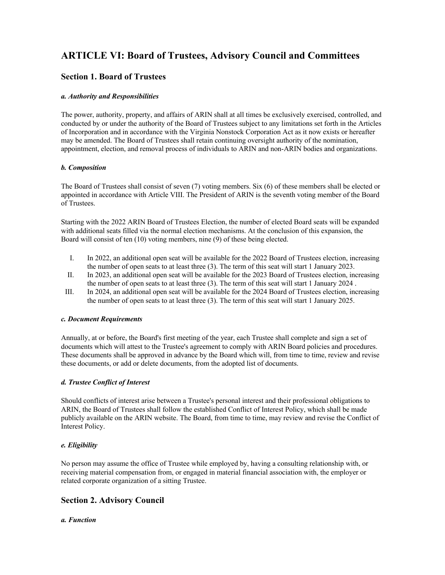# **ARTICLE VI: Board of Trustees, Advisory Council and Committees**

# **Section 1. Board of Trustees**

## *a. Authority and Responsibilities*

The power, authority, property, and affairs of ARIN shall at all times be exclusively exercised, controlled, and conducted by or under the authority of the Board of Trustees subject to any limitations set forth in the Articles of Incorporation and in accordance with the Virginia Nonstock Corporation Act as it now exists or hereafter may be amended. The Board of Trustees shall retain continuing oversight authority of the nomination, appointment, election, and removal process of individuals to ARIN and non-ARIN bodies and organizations.

#### *b. Composition*

The Board of Trustees shall consist of seven (7) voting members. Six (6) of these members shall be elected or appointed in accordance with Article VIII. The President of ARIN is the seventh voting member of the Board of Trustees.

Starting with the 2022 ARIN Board of Trustees Election, the number of elected Board seats will be expanded with additional seats filled via the normal election mechanisms. At the conclusion of this expansion, the Board will consist of ten (10) voting members, nine (9) of these being elected.

- I. In 2022, an additional open seat will be available for the 2022 Board of Trustees election, increasing the number of open seats to at least three (3). The term of this seat will start 1 January 2023.
- II. In 2023, an additional open seat will be available for the 2023 Board of Trustees election, increasing the number of open seats to at least three (3). The term of this seat will start 1 January 2024 .
- III. In 2024, an additional open seat will be available for the 2024 Board of Trustees election, increasing the number of open seats to at least three (3). The term of this seat will start 1 January 2025.

#### *c. Document Requirements*

Annually, at or before, the Board's first meeting of the year, each Trustee shall complete and sign a set of documents which will attest to the Trustee's agreement to comply with ARIN Board policies and procedures. These documents shall be approved in advance by the Board which will, from time to time, review and revise these documents, or add or delete documents, from the adopted list of documents.

## *d. Trustee Conflict of Interest*

Should conflicts of interest arise between a Trustee's personal interest and their professional obligations to ARIN, the Board of Trustees shall follow the established Conflict of Interest Policy, which shall be made publicly available on the ARIN website. The Board, from time to time, may review and revise the Conflict of Interest Policy.

## *e. Eligibility*

No person may assume the office of Trustee while employed by, having a consulting relationship with, or receiving material compensation from, or engaged in material financial association with, the employer or related corporate organization of a sitting Trustee.

# **Section 2. Advisory Council**

## *a. Function*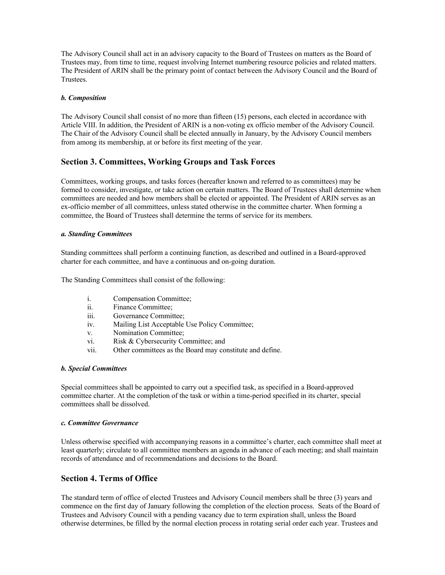The Advisory Council shall act in an advisory capacity to the Board of Trustees on matters as the Board of Trustees may, from time to time, request involving Internet numbering resource policies and related matters. The President of ARIN shall be the primary point of contact between the Advisory Council and the Board of Trustees.

#### *b. Composition*

The Advisory Council shall consist of no more than fifteen (15) persons, each elected in accordance with Article VIII. In addition, the President of ARIN is a non-voting ex officio member of the Advisory Council. The Chair of the Advisory Council shall be elected annually in January, by the Advisory Council members from among its membership, at or before its first meeting of the year.

# **Section 3. Committees, Working Groups and Task Forces**

Committees, working groups, and tasks forces (hereafter known and referred to as committees) may be formed to consider, investigate, or take action on certain matters. The Board of Trustees shall determine when committees are needed and how members shall be elected or appointed. The President of ARIN serves as an ex-officio member of all committees, unless stated otherwise in the committee charter. When forming a committee, the Board of Trustees shall determine the terms of service for its members.

#### *a. Standing Committees*

Standing committees shall perform a continuing function, as described and outlined in a Board-approved charter for each committee, and have a continuous and on-going duration.

The Standing Committees shall consist of the following:

- i. Compensation Committee;
- ii. Finance Committee;
- iii. Governance Committee;
- iv. Mailing List Acceptable Use Policy Committee;
- v. Nomination Committee;
- vi. Risk & Cybersecurity Committee; and
- vii. Other committees as the Board may constitute and define.

#### *b. Special Committees*

Special committees shall be appointed to carry out a specified task, as specified in a Board-approved committee charter. At the completion of the task or within a time-period specified in its charter, special committees shall be dissolved.

#### *c. Committee Governance*

Unless otherwise specified with accompanying reasons in a committee's charter, each committee shall meet at least quarterly; circulate to all committee members an agenda in advance of each meeting; and shall maintain records of attendance and of recommendations and decisions to the Board.

# **Section 4. Terms of Office**

The standard term of office of elected Trustees and Advisory Council members shall be three (3) years and commence on the first day of January following the completion of the election process. Seats of the Board of Trustees and Advisory Council with a pending vacancy due to term expiration shall, unless the Board otherwise determines, be filled by the normal election process in rotating serial order each year. Trustees and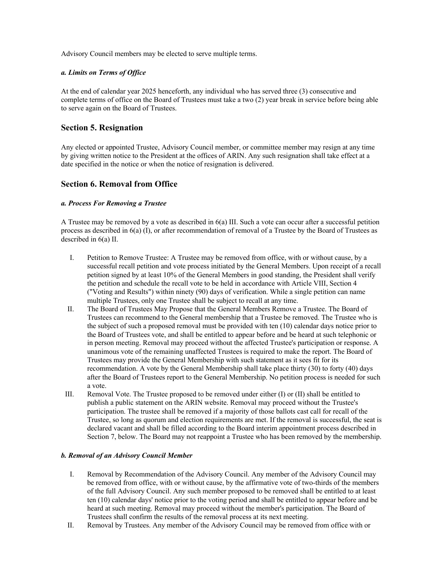Advisory Council members may be elected to serve multiple terms.

#### *a. Limits on Terms of Office*

At the end of calendar year 2025 henceforth, any individual who has served three (3) consecutive and complete terms of office on the Board of Trustees must take a two (2) year break in service before being able to serve again on the Board of Trustees.

# **Section 5. Resignation**

Any elected or appointed Trustee, Advisory Council member, or committee member may resign at any time by giving written notice to the President at the offices of ARIN. Any such resignation shall take effect at a date specified in the notice or when the notice of resignation is delivered.

# **Section 6. Removal from Office**

#### *a. Process For Removing a Trustee*

A Trustee may be removed by a vote as described in 6(a) III. Such a vote can occur after a successful petition process as described in 6(a) (I), or after recommendation of removal of a Trustee by the Board of Trustees as described in 6(a) II.

- I. Petition to Remove Trustee: A Trustee may be removed from office, with or without cause, by a successful recall petition and vote process initiated by the General Members. Upon receipt of a recall petition signed by at least 10% of the General Members in good standing, the President shall verify the petition and schedule the recall vote to be held in accordance with Article VIII, Section 4 ("Voting and Results") within ninety (90) days of verification. While a single petition can name multiple Trustees, only one Trustee shall be subject to recall at any time.
- II. The Board of Trustees May Propose that the General Members Remove a Trustee. The Board of Trustees can recommend to the General membership that a Trustee be removed. The Trustee who is the subject of such a proposed removal must be provided with ten (10) calendar days notice prior to the Board of Trustees vote, and shall be entitled to appear before and be heard at such telephonic or in person meeting. Removal may proceed without the affected Trustee's participation or response. A unanimous vote of the remaining unaffected Trustees is required to make the report. The Board of Trustees may provide the General Membership with such statement as it sees fit for its recommendation. A vote by the General Membership shall take place thirty (30) to forty (40) days after the Board of Trustees report to the General Membership. No petition process is needed for such a vote.
- III. Removal Vote. The Trustee proposed to be removed under either (I) or (II) shall be entitled to publish a public statement on the ARIN website. Removal may proceed without the Trustee's participation. The trustee shall be removed if a majority of those ballots cast call for recall of the Trustee, so long as quorum and election requirements are met. If the removal is successful, the seat is declared vacant and shall be filled according to the Board interim appointment process described in Section 7, below. The Board may not reappoint a Trustee who has been removed by the membership.

#### *b. Removal of an Advisory Council Member*

- I. Removal by Recommendation of the Advisory Council. Any member of the Advisory Council may be removed from office, with or without cause, by the affirmative vote of two-thirds of the members of the full Advisory Council. Any such member proposed to be removed shall be entitled to at least ten (10) calendar days' notice prior to the voting period and shall be entitled to appear before and be heard at such meeting. Removal may proceed without the member's participation. The Board of Trustees shall confirm the results of the removal process at its next meeting.
- II. Removal by Trustees. Any member of the Advisory Council may be removed from office with or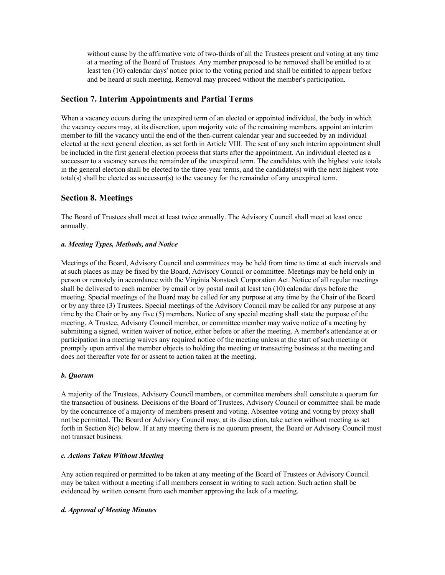without cause by the affirmative vote of two-thirds of all the Trustees present and voting at any time at a meeting of the Board of Trustees. Any member proposed to be removed shall be entitled to at least ten (10) calendar days' notice prior to the voting period and shall be entitled to appear before and be heard at such meeting. Removal may proceed without the member's participation.

# **Section 7. Interim Appointments and Partial Terms**

When a vacancy occurs during the unexpired term of an elected or appointed individual, the body in which the vacancy occurs may, at its discretion, upon majority vote of the remaining members, appoint an interim member to fill the vacancy until the end of the then-current calendar year and succeeded by an individual elected at the next general election, as set forth in Article VIII. The seat of any such interim appointment shall be included in the first general election process that starts after the appointment. An individual elected as a successor to a vacancy serves the remainder of the unexpired term. The candidates with the highest vote totals in the general election shall be elected to the three-year terms, and the candidate(s) with the next highest vote total(s) shall be elected as successor(s) to the vacancy for the remainder of any unexpired term.

# **Section 8. Meetings**

The Board of Trustees shall meet at least twice annually. The Advisory Council shall meet at least once annually.

#### *a. Meeting Types, Methods, and Notice*

Meetings of the Board, Advisory Council and committees may be held from time to time at such intervals and at such places as may be fixed by the Board, Advisory Council or committee. Meetings may be held only in person or remotely in accordance with the Virginia Nonstock Corporation Act. Notice of all regular meetings shall be delivered to each member by email or by postal mail at least ten (10) calendar days before the meeting. Special meetings of the Board may be called for any purpose at any time by the Chair of the Board or by any three (3) Trustees. Special meetings of the Advisory Council may be called for any purpose at any time by the Chair or by any five (5) members. Notice of any special meeting shall state the purpose of the meeting. A Trustee, Advisory Council member, or committee member may waive notice of a meeting by submitting a signed, written waiver of notice, either before or after the meeting. A member's attendance at or participation in a meeting waives any required notice of the meeting unless at the start of such meeting or promptly upon arrival the member objects to holding the meeting or transacting business at the meeting and does not thereafter vote for or assent to action taken at the meeting.

## *b. Quorum*

A majority of the Trustees, Advisory Council members, or committee members shall constitute a quorum for the transaction of business. Decisions of the Board of Trustees, Advisory Council or committee shall be made by the concurrence of a majority of members present and voting. Absentee voting and voting by proxy shall not be permitted. The Board or Advisory Council may, at its discretion, take action without meeting as set forth in Section 8(c) below. If at any meeting there is no quorum present, the Board or Advisory Council must not transact business.

#### *c. Actions Taken Without Meeting*

Any action required or permitted to be taken at any meeting of the Board of Trustees or Advisory Council may be taken without a meeting if all members consent in writing to such action. Such action shall be evidenced by written consent from each member approving the lack of a meeting.

#### *d. Approval of Meeting Minutes*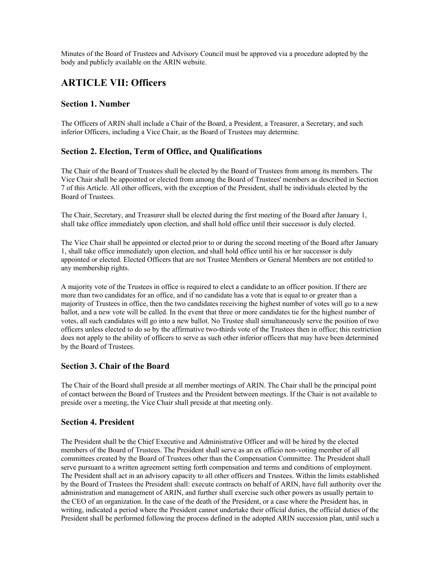Minutes of the Board of Trustees and Advisory Council must be approved via a procedure adopted by the body and publicly available on the ARIN website.

# **ARTICLE VII: Officers**

# **Section 1. Number**

The Officers of ARIN shall include a Chair of the Board, a President, a Treasurer, a Secretary, and such inferior Officers, including a Vice Chair, as the Board of Trustees may determine.

# **Section 2. Election, Term of Office, and Qualifications**

The Chair of the Board of Trustees shall be elected by the Board of Trustees from among its members. The Vice Chair shall be appointed or elected from among the Board of Trustees' members as described in Section 7 of this Article. All other officers, with the exception of the President, shall be individuals elected by the Board of Trustees.

The Chair, Secretary, and Treasurer shall be elected during the first meeting of the Board after January 1, shall take office immediately upon election, and shall hold office until their successor is duly elected.

The Vice Chair shall be appointed or elected prior to or during the second meeting of the Board after January 1, shall take office immediately upon election, and shall hold office until his or her successor is duly appointed or elected. Elected Officers that are not Trustee Members or General Members are not entitled to any membership rights.

A majority vote of the Trustees in office is required to elect a candidate to an officer position. If there are more than two candidates for an office, and if no candidate has a vote that is equal to or greater than a majority of Trustees in office, then the two candidates receiving the highest number of votes will go to a new ballot, and a new vote will be called. In the event that three or more candidates tie for the highest number of votes, all such candidates will go into a new ballot. No Trustee shall simultaneously serve the position of two officers unless elected to do so by the affirmative two-thirds vote of the Trustees then in office; this restriction does not apply to the ability of officers to serve as such other inferior officers that may have been determined by the Board of Trustees.

# **Section 3. Chair of the Board**

The Chair of the Board shall preside at all member meetings of ARIN. The Chair shall be the principal point of contact between the Board of Trustees and the President between meetings. If the Chair is not available to preside over a meeting, the Vice Chair shall preside at that meeting only.

# **Section 4. President**

The President shall be the Chief Executive and Administrative Officer and will be hired by the elected members of the Board of Trustees. The President shall serve as an ex officio non-voting member of all committees created by the Board of Trustees other than the Compensation Committee. The President shall serve pursuant to a written agreement setting forth compensation and terms and conditions of employment. The President shall act in an advisory capacity to all other officers and Trustees. Within the limits established by the Board of Trustees the President shall: execute contracts on behalf of ARIN, have full authority over the administration and management of ARIN, and further shall exercise such other powers as usually pertain to the CEO of an organization. In the case of the death of the President, or a case where the President has, in writing, indicated a period where the President cannot undertake their official duties, the official duties of the President shall be performed following the process defined in the adopted ARIN succession plan, until such a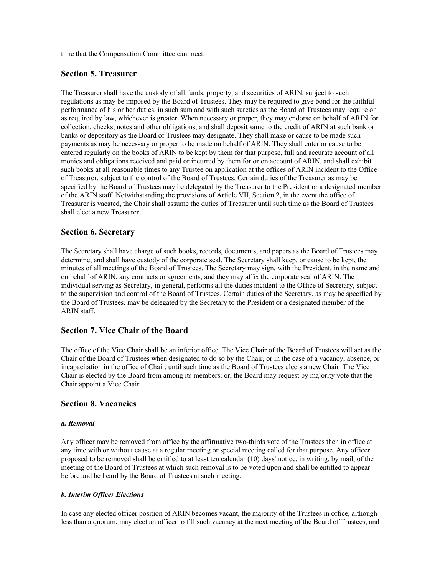time that the Compensation Committee can meet.

# **Section 5. Treasurer**

The Treasurer shall have the custody of all funds, property, and securities of ARIN, subject to such regulations as may be imposed by the Board of Trustees. They may be required to give bond for the faithful performance of his or her duties, in such sum and with such sureties as the Board of Trustees may require or as required by law, whichever is greater. When necessary or proper, they may endorse on behalf of ARIN for collection, checks, notes and other obligations, and shall deposit same to the credit of ARIN at such bank or banks or depository as the Board of Trustees may designate. They shall make or cause to be made such payments as may be necessary or proper to be made on behalf of ARIN. They shall enter or cause to be entered regularly on the books of ARIN to be kept by them for that purpose, full and accurate account of all monies and obligations received and paid or incurred by them for or on account of ARIN, and shall exhibit such books at all reasonable times to any Trustee on application at the offices of ARIN incident to the Office of Treasurer, subject to the control of the Board of Trustees. Certain duties of the Treasurer as may be specified by the Board of Trustees may be delegated by the Treasurer to the President or a designated member of the ARIN staff. Notwithstanding the provisions of Article VII, Section 2, in the event the office of Treasurer is vacated, the Chair shall assume the duties of Treasurer until such time as the Board of Trustees shall elect a new Treasurer.

# **Section 6. Secretary**

The Secretary shall have charge of such books, records, documents, and papers as the Board of Trustees may determine, and shall have custody of the corporate seal. The Secretary shall keep, or cause to be kept, the minutes of all meetings of the Board of Trustees. The Secretary may sign, with the President, in the name and on behalf of ARIN, any contracts or agreements, and they may affix the corporate seal of ARIN. The individual serving as Secretary, in general, performs all the duties incident to the Office of Secretary, subject to the supervision and control of the Board of Trustees. Certain duties of the Secretary, as may be specified by the Board of Trustees, may be delegated by the Secretary to the President or a designated member of the ARIN staff.

## **Section 7. Vice Chair of the Board**

The office of the Vice Chair shall be an inferior office. The Vice Chair of the Board of Trustees will act as the Chair of the Board of Trustees when designated to do so by the Chair, or in the case of a vacancy, absence, or incapacitation in the office of Chair, until such time as the Board of Trustees elects a new Chair. The Vice Chair is elected by the Board from among its members; or, the Board may request by majority vote that the Chair appoint a Vice Chair.

# **Section 8. Vacancies**

#### *a. Removal*

Any officer may be removed from office by the affirmative two-thirds vote of the Trustees then in office at any time with or without cause at a regular meeting or special meeting called for that purpose. Any officer proposed to be removed shall be entitled to at least ten calendar (10) days' notice, in writing, by mail, of the meeting of the Board of Trustees at which such removal is to be voted upon and shall be entitled to appear before and be heard by the Board of Trustees at such meeting.

#### *b. Interim Officer Elections*

In case any elected officer position of ARIN becomes vacant, the majority of the Trustees in office, although less than a quorum, may elect an officer to fill such vacancy at the next meeting of the Board of Trustees, and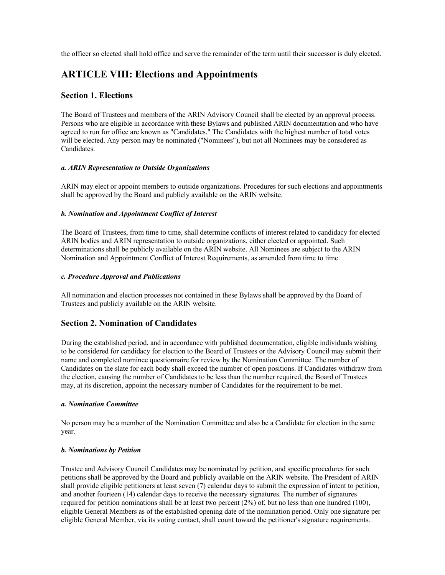the officer so elected shall hold office and serve the remainder of the term until their successor is duly elected.

# **ARTICLE VIII: Elections and Appointments**

# **Section 1. Elections**

The Board of Trustees and members of the ARIN Advisory Council shall be elected by an approval process. Persons who are eligible in accordance with these Bylaws and published ARIN documentation and who have agreed to run for office are known as "Candidates." The Candidates with the highest number of total votes will be elected. Any person may be nominated ("Nominees"), but not all Nominees may be considered as Candidates.

## *a. ARIN Representation to Outside Organizations*

ARIN may elect or appoint members to outside organizations. Procedures for such elections and appointments shall be approved by the Board and publicly available on the ARIN website.

## *b. Nomination and Appointment Conflict of Interest*

The Board of Trustees, from time to time, shall determine conflicts of interest related to candidacy for elected ARIN bodies and ARIN representation to outside organizations, either elected or appointed. Such determinations shall be publicly available on the ARIN website. All Nominees are subject to the ARIN Nomination and Appointment Conflict of Interest Requirements, as amended from time to time.

## *c. Procedure Approval and Publications*

All nomination and election processes not contained in these Bylaws shall be approved by the Board of Trustees and publicly available on the ARIN website.

# **Section 2. Nomination of Candidates**

During the established period, and in accordance with published documentation, eligible individuals wishing to be considered for candidacy for election to the Board of Trustees or the Advisory Council may submit their name and completed nominee questionnaire for review by the Nomination Committee. The number of Candidates on the slate for each body shall exceed the number of open positions. If Candidates withdraw from the election, causing the number of Candidates to be less than the number required, the Board of Trustees may, at its discretion, appoint the necessary number of Candidates for the requirement to be met.

## *a. Nomination Committee*

No person may be a member of the Nomination Committee and also be a Candidate for election in the same year.

## *b. Nominations by Petition*

Trustee and Advisory Council Candidates may be nominated by petition, and specific procedures for such petitions shall be approved by the Board and publicly available on the ARIN website. The President of ARIN shall provide eligible petitioners at least seven (7) calendar days to submit the expression of intent to petition, and another fourteen (14) calendar days to receive the necessary signatures. The number of signatures required for petition nominations shall be at least two percent (2%) of, but no less than one hundred (100), eligible General Members as of the established opening date of the nomination period. Only one signature per eligible General Member, via its voting contact, shall count toward the petitioner's signature requirements.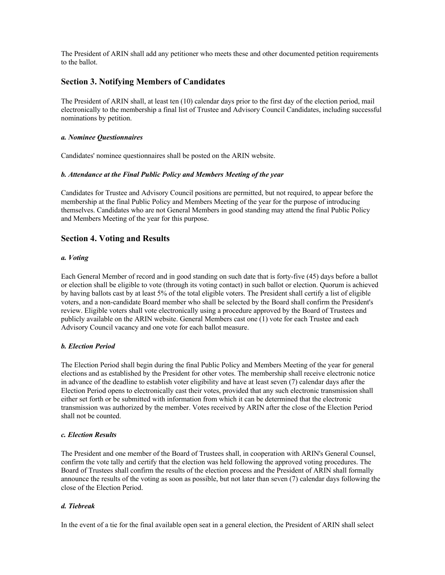The President of ARIN shall add any petitioner who meets these and other documented petition requirements to the ballot.

# **Section 3. Notifying Members of Candidates**

The President of ARIN shall, at least ten (10) calendar days prior to the first day of the election period, mail electronically to the membership a final list of Trustee and Advisory Council Candidates, including successful nominations by petition.

#### *a. Nominee Questionnaires*

Candidates' nominee questionnaires shall be posted on the ARIN website.

#### *b. Attendance at the Final Public Policy and Members Meeting of the year*

Candidates for Trustee and Advisory Council positions are permitted, but not required, to appear before the membership at the final Public Policy and Members Meeting of the year for the purpose of introducing themselves. Candidates who are not General Members in good standing may attend the final Public Policy and Members Meeting of the year for this purpose.

## **Section 4. Voting and Results**

#### *a. Voting*

Each General Member of record and in good standing on such date that is forty-five (45) days before a ballot or election shall be eligible to vote (through its voting contact) in such ballot or election. Quorum is achieved by having ballots cast by at least 5% of the total eligible voters. The President shall certify a list of eligible voters, and a non-candidate Board member who shall be selected by the Board shall confirm the President's review. Eligible voters shall vote electronically using a procedure approved by the Board of Trustees and publicly available on the ARIN website. General Members cast one (1) vote for each Trustee and each Advisory Council vacancy and one vote for each ballot measure.

#### *b. Election Period*

The Election Period shall begin during the final Public Policy and Members Meeting of the year for general elections and as established by the President for other votes. The membership shall receive electronic notice in advance of the deadline to establish voter eligibility and have at least seven (7) calendar days after the Election Period opens to electronically cast their votes, provided that any such electronic transmission shall either set forth or be submitted with information from which it can be determined that the electronic transmission was authorized by the member. Votes received by ARIN after the close of the Election Period shall not be counted.

#### *c. Election Results*

The President and one member of the Board of Trustees shall, in cooperation with ARIN's General Counsel, confirm the vote tally and certify that the election was held following the approved voting procedures. The Board of Trustees shall confirm the results of the election process and the President of ARIN shall formally announce the results of the voting as soon as possible, but not later than seven (7) calendar days following the close of the Election Period.

#### *d. Tiebreak*

In the event of a tie for the final available open seat in a general election, the President of ARIN shall select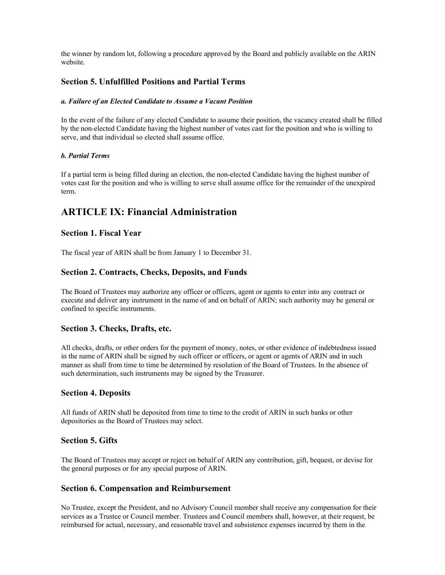the winner by random lot, following a procedure approved by the Board and publicly available on the ARIN website.

# **Section 5. Unfulfilled Positions and Partial Terms**

#### *a. Failure of an Elected Candidate to Assume a Vacant Position*

In the event of the failure of any elected Candidate to assume their position, the vacancy created shall be filled by the non-elected Candidate having the highest number of votes cast for the position and who is willing to serve, and that individual so elected shall assume office.

#### *b. Partial Terms*

If a partial term is being filled during an election, the non-elected Candidate having the highest number of votes cast for the position and who is willing to serve shall assume office for the remainder of the unexpired term.

# **ARTICLE IX: Financial Administration**

# **Section 1. Fiscal Year**

The fiscal year of ARIN shall be from January 1 to December 31.

# **Section 2. Contracts, Checks, Deposits, and Funds**

The Board of Trustees may authorize any officer or officers, agent or agents to enter into any contract or execute and deliver any instrument in the name of and on behalf of ARIN; such authority may be general or confined to specific instruments.

## **Section 3. Checks, Drafts, etc.**

All checks, drafts, or other orders for the payment of money, notes, or other evidence of indebtedness issued in the name of ARIN shall be signed by such officer or officers, or agent or agents of ARIN and in such manner as shall from time to time be determined by resolution of the Board of Trustees. In the absence of such determination, such instruments may be signed by the Treasurer.

## **Section 4. Deposits**

All funds of ARIN shall be deposited from time to time to the credit of ARIN in such banks or other depositories as the Board of Trustees may select.

## **Section 5. Gifts**

The Board of Trustees may accept or reject on behalf of ARIN any contribution, gift, bequest, or devise for the general purposes or for any special purpose of ARIN.

# **Section 6. Compensation and Reimbursement**

No Trustee, except the President, and no Advisory Council member shall receive any compensation for their services as a Trustee or Council member. Trustees and Council members shall, however, at their request, be reimbursed for actual, necessary, and reasonable travel and subsistence expenses incurred by them in the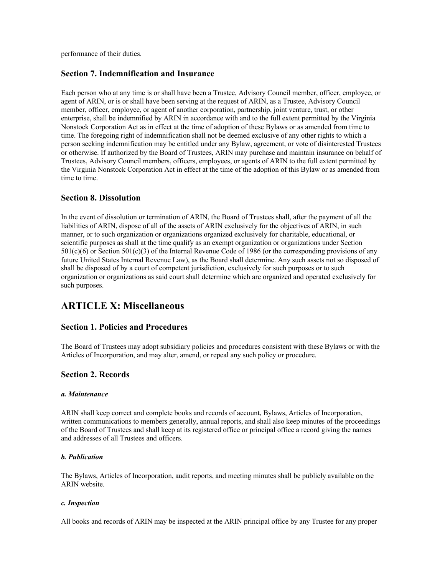performance of their duties.

# **Section 7. Indemnification and Insurance**

Each person who at any time is or shall have been a Trustee, Advisory Council member, officer, employee, or agent of ARIN, or is or shall have been serving at the request of ARIN, as a Trustee, Advisory Council member, officer, employee, or agent of another corporation, partnership, joint venture, trust, or other enterprise, shall be indemnified by ARIN in accordance with and to the full extent permitted by the Virginia Nonstock Corporation Act as in effect at the time of adoption of these Bylaws or as amended from time to time. The foregoing right of indemnification shall not be deemed exclusive of any other rights to which a person seeking indemnification may be entitled under any Bylaw, agreement, or vote of disinterested Trustees or otherwise. If authorized by the Board of Trustees, ARIN may purchase and maintain insurance on behalf of Trustees, Advisory Council members, officers, employees, or agents of ARIN to the full extent permitted by the Virginia Nonstock Corporation Act in effect at the time of the adoption of this Bylaw or as amended from time to time.

# **Section 8. Dissolution**

In the event of dissolution or termination of ARIN, the Board of Trustees shall, after the payment of all the liabilities of ARIN, dispose of all of the assets of ARIN exclusively for the objectives of ARIN, in such manner, or to such organization or organizations organized exclusively for charitable, educational, or scientific purposes as shall at the time qualify as an exempt organization or organizations under Section 501(c)(6) or Section 501(c)(3) of the Internal Revenue Code of 1986 (or the corresponding provisions of any future United States Internal Revenue Law), as the Board shall determine. Any such assets not so disposed of shall be disposed of by a court of competent jurisdiction, exclusively for such purposes or to such organization or organizations as said court shall determine which are organized and operated exclusively for such purposes.

# **ARTICLE X: Miscellaneous**

# **Section 1. Policies and Procedures**

The Board of Trustees may adopt subsidiary policies and procedures consistent with these Bylaws or with the Articles of Incorporation, and may alter, amend, or repeal any such policy or procedure.

# **Section 2. Records**

#### *a. Maintenance*

ARIN shall keep correct and complete books and records of account, Bylaws, Articles of Incorporation, written communications to members generally, annual reports, and shall also keep minutes of the proceedings of the Board of Trustees and shall keep at its registered office or principal office a record giving the names and addresses of all Trustees and officers.

## *b. Publication*

The Bylaws, Articles of Incorporation, audit reports, and meeting minutes shall be publicly available on the ARIN website.

#### *c. Inspection*

All books and records of ARIN may be inspected at the ARIN principal office by any Trustee for any proper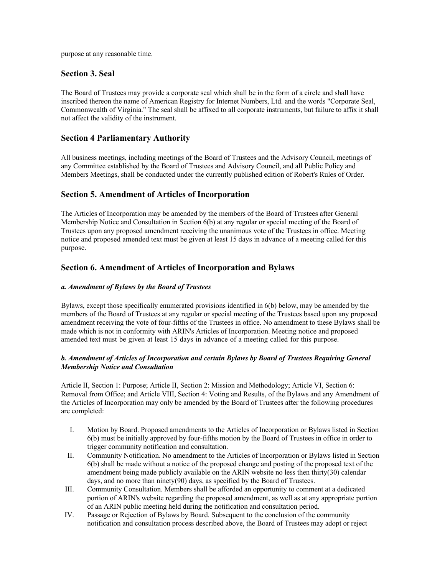purpose at any reasonable time.

# **Section 3. Seal**

The Board of Trustees may provide a corporate seal which shall be in the form of a circle and shall have inscribed thereon the name of American Registry for Internet Numbers, Ltd. and the words "Corporate Seal, Commonwealth of Virginia." The seal shall be affixed to all corporate instruments, but failure to affix it shall not affect the validity of the instrument.

# **Section 4 Parliamentary Authority**

All business meetings, including meetings of the Board of Trustees and the Advisory Council, meetings of any Committee established by the Board of Trustees and Advisory Council, and all Public Policy and Members Meetings, shall be conducted under the currently published edition of Robert's Rules of Order.

# **Section 5. Amendment of Articles of Incorporation**

The Articles of Incorporation may be amended by the members of the Board of Trustees after General Membership Notice and Consultation in Section 6(b) at any regular or special meeting of the Board of Trustees upon any proposed amendment receiving the unanimous vote of the Trustees in office. Meeting notice and proposed amended text must be given at least 15 days in advance of a meeting called for this purpose.

# **Section 6. Amendment of Articles of Incorporation and Bylaws**

## *a. Amendment of Bylaws by the Board of Trustees*

Bylaws, except those specifically enumerated provisions identified in 6(b) below, may be amended by the members of the Board of Trustees at any regular or special meeting of the Trustees based upon any proposed amendment receiving the vote of four-fifths of the Trustees in office. No amendment to these Bylaws shall be made which is not in conformity with ARIN's Articles of Incorporation. Meeting notice and proposed amended text must be given at least 15 days in advance of a meeting called for this purpose.

# *b. Amendment of Articles of Incorporation and certain Bylaws by Board of Trustees Requiring General Membership Notice and Consultation*

Article II, Section 1: Purpose; Article II, Section 2: Mission and Methodology; Article VI, Section 6: Removal from Office; and Article VIII, Section 4: Voting and Results, of the Bylaws and any Amendment of the Articles of Incorporation may only be amended by the Board of Trustees after the following procedures are completed:

- I. Motion by Board. Proposed amendments to the Articles of Incorporation or Bylaws listed in Section 6(b) must be initially approved by four-fifths motion by the Board of Trustees in office in order to trigger community notification and consultation.
- II. Community Notification. No amendment to the Articles of Incorporation or Bylaws listed in Section 6(b) shall be made without a notice of the proposed change and posting of the proposed text of the amendment being made publicly available on the ARIN website no less then thirty(30) calendar days, and no more than ninety(90) days, as specified by the Board of Trustees.
- III. Community Consultation. Members shall be afforded an opportunity to comment at a dedicated portion of ARIN's website regarding the proposed amendment, as well as at any appropriate portion of an ARIN public meeting held during the notification and consultation period.
- IV. Passage or Rejection of Bylaws by Board. Subsequent to the conclusion of the community notification and consultation process described above, the Board of Trustees may adopt or reject